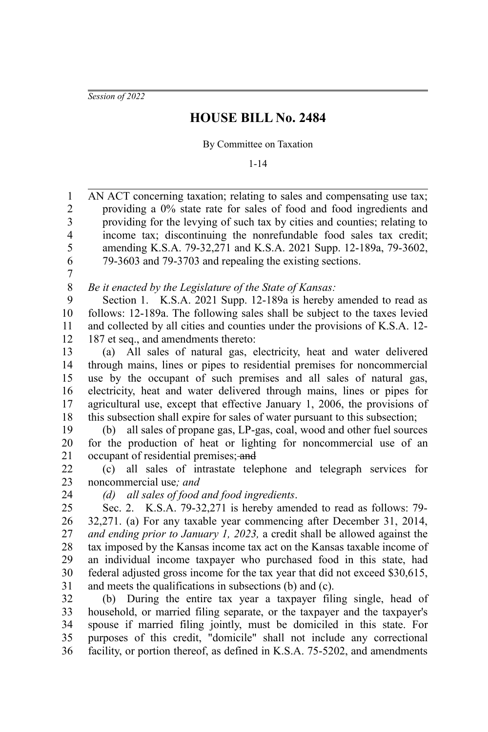*Session of 2022*

## **HOUSE BILL No. 2484**

## By Committee on Taxation

1-14

AN ACT concerning taxation; relating to sales and compensating use tax; providing a 0% state rate for sales of food and food ingredients and providing for the levying of such tax by cities and counties; relating to income tax; discontinuing the nonrefundable food sales tax credit; amending K.S.A. 79-32,271 and K.S.A. 2021 Supp. 12-189a, 79-3602, 79-3603 and 79-3703 and repealing the existing sections. 1 2 3 4 5 6

7

*Be it enacted by the Legislature of the State of Kansas:* 8

Section 1. K.S.A. 2021 Supp. 12-189a is hereby amended to read as follows: 12-189a. The following sales shall be subject to the taxes levied and collected by all cities and counties under the provisions of K.S.A. 12- 187 et seq., and amendments thereto: 9 10 11 12

(a) All sales of natural gas, electricity, heat and water delivered through mains, lines or pipes to residential premises for noncommercial use by the occupant of such premises and all sales of natural gas, electricity, heat and water delivered through mains, lines or pipes for agricultural use, except that effective January 1, 2006, the provisions of this subsection shall expire for sales of water pursuant to this subsection; 13 14 15 16 17 18

(b) all sales of propane gas, LP-gas, coal, wood and other fuel sources for the production of heat or lighting for noncommercial use of an occupant of residential premises; and 19 20 21

(c) all sales of intrastate telephone and telegraph services for noncommercial use*; and* 22 23

24

*(d) all sales of food and food ingredients*.

Sec. 2. K.S.A. 79-32,271 is hereby amended to read as follows: 79- 32,271. (a) For any taxable year commencing after December 31, 2014, *and ending prior to January 1, 2023,* a credit shall be allowed against the tax imposed by the Kansas income tax act on the Kansas taxable income of an individual income taxpayer who purchased food in this state, had federal adjusted gross income for the tax year that did not exceed \$30,615, and meets the qualifications in subsections (b) and (c). 25 26 27 28 29 30 31

(b) During the entire tax year a taxpayer filing single, head of household, or married filing separate, or the taxpayer and the taxpayer's spouse if married filing jointly, must be domiciled in this state. For purposes of this credit, "domicile" shall not include any correctional facility, or portion thereof, as defined in K.S.A. 75-5202, and amendments 32 33 34 35 36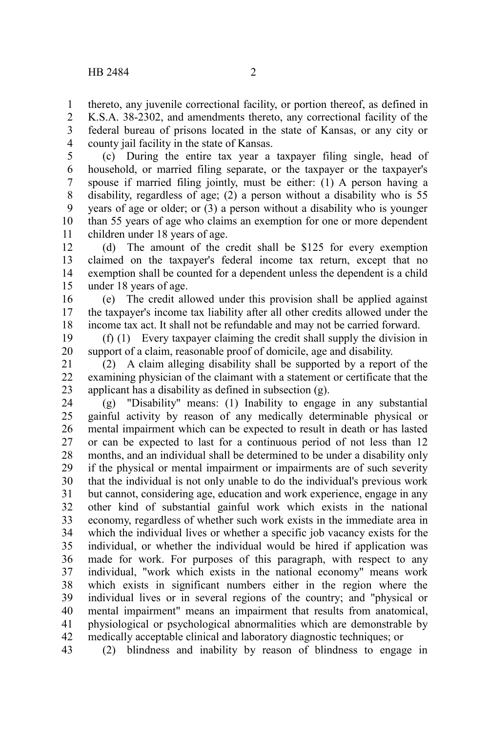thereto, any juvenile correctional facility, or portion thereof, as defined in 1

K.S.A. 38-2302, and amendments thereto, any correctional facility of the federal bureau of prisons located in the state of Kansas, or any city or county jail facility in the state of Kansas. 2 3 4

(c) During the entire tax year a taxpayer filing single, head of household, or married filing separate, or the taxpayer or the taxpayer's spouse if married filing jointly, must be either: (1) A person having a disability, regardless of age; (2) a person without a disability who is 55 years of age or older; or (3) a person without a disability who is younger than 55 years of age who claims an exemption for one or more dependent children under 18 years of age. 5 6 7 8 9 10 11

(d) The amount of the credit shall be \$125 for every exemption claimed on the taxpayer's federal income tax return, except that no exemption shall be counted for a dependent unless the dependent is a child under 18 years of age. 12 13 14 15

(e) The credit allowed under this provision shall be applied against the taxpayer's income tax liability after all other credits allowed under the income tax act. It shall not be refundable and may not be carried forward. 16 17 18

(f) (1) Every taxpayer claiming the credit shall supply the division in support of a claim, reasonable proof of domicile, age and disability. 19 20

(2) A claim alleging disability shall be supported by a report of the examining physician of the claimant with a statement or certificate that the applicant has a disability as defined in subsection (g). 21 22 23

(g) "Disability" means: (1) Inability to engage in any substantial gainful activity by reason of any medically determinable physical or mental impairment which can be expected to result in death or has lasted or can be expected to last for a continuous period of not less than 12 months, and an individual shall be determined to be under a disability only if the physical or mental impairment or impairments are of such severity that the individual is not only unable to do the individual's previous work but cannot, considering age, education and work experience, engage in any other kind of substantial gainful work which exists in the national economy, regardless of whether such work exists in the immediate area in which the individual lives or whether a specific job vacancy exists for the individual, or whether the individual would be hired if application was made for work. For purposes of this paragraph, with respect to any individual, "work which exists in the national economy" means work which exists in significant numbers either in the region where the individual lives or in several regions of the country; and "physical or mental impairment" means an impairment that results from anatomical, physiological or psychological abnormalities which are demonstrable by medically acceptable clinical and laboratory diagnostic techniques; or 24 25 26 27 28 29 30 31 32 33 34 35 36 37 38 39 40 41 42

(2) blindness and inability by reason of blindness to engage in 43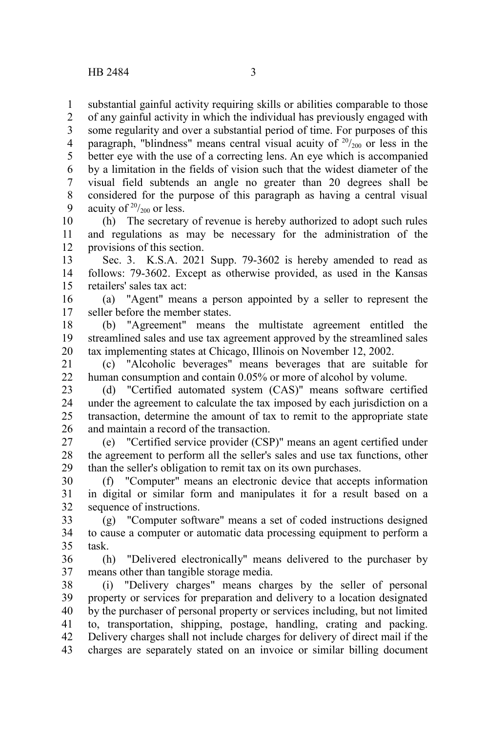substantial gainful activity requiring skills or abilities comparable to those 1

of any gainful activity in which the individual has previously engaged with some regularity and over a substantial period of time. For purposes of this paragraph, "blindness" means central visual acuity of  $20/20$  or less in the better eye with the use of a correcting lens. An eye which is accompanied by a limitation in the fields of vision such that the widest diameter of the visual field subtends an angle no greater than 20 degrees shall be considered for the purpose of this paragraph as having a central visual acuity of  $20/200$  or less. 2 3 4 5 6 7 8 9

(h) The secretary of revenue is hereby authorized to adopt such rules and regulations as may be necessary for the administration of the provisions of this section. 10 11 12

Sec. 3. K.S.A. 2021 Supp. 79-3602 is hereby amended to read as follows: 79-3602. Except as otherwise provided, as used in the Kansas retailers' sales tax act: 13 14 15

(a) "Agent" means a person appointed by a seller to represent the seller before the member states. 16 17

(b) "Agreement" means the multistate agreement entitled the streamlined sales and use tax agreement approved by the streamlined sales tax implementing states at Chicago, Illinois on November 12, 2002. 18 19 20

(c) "Alcoholic beverages" means beverages that are suitable for human consumption and contain 0.05% or more of alcohol by volume. 21 22

(d) "Certified automated system (CAS)" means software certified under the agreement to calculate the tax imposed by each jurisdiction on a transaction, determine the amount of tax to remit to the appropriate state and maintain a record of the transaction. 23 24 25 26

(e) "Certified service provider (CSP)" means an agent certified under the agreement to perform all the seller's sales and use tax functions, other than the seller's obligation to remit tax on its own purchases. 27 28 29

(f) "Computer" means an electronic device that accepts information in digital or similar form and manipulates it for a result based on a sequence of instructions. 30 31 32

(g) "Computer software" means a set of coded instructions designed to cause a computer or automatic data processing equipment to perform a task. 33 34 35

(h) "Delivered electronically" means delivered to the purchaser by means other than tangible storage media. 36 37

(i) "Delivery charges" means charges by the seller of personal property or services for preparation and delivery to a location designated by the purchaser of personal property or services including, but not limited to, transportation, shipping, postage, handling, crating and packing. Delivery charges shall not include charges for delivery of direct mail if the charges are separately stated on an invoice or similar billing document 38 39 40 41 42 43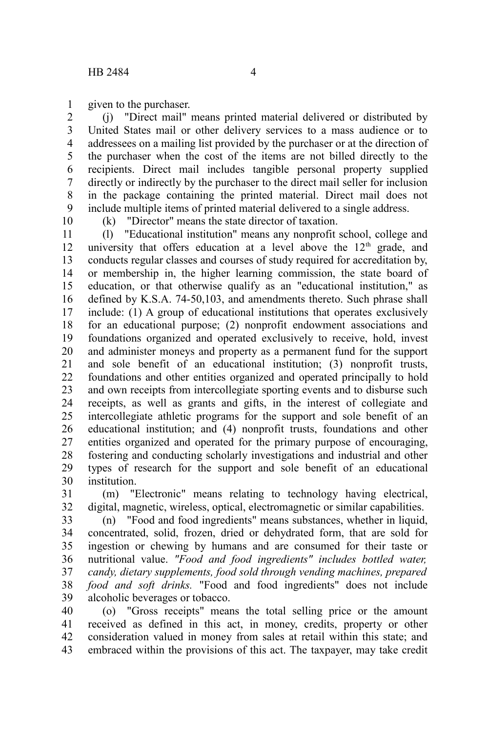given to the purchaser. 1

(j) "Direct mail" means printed material delivered or distributed by United States mail or other delivery services to a mass audience or to addressees on a mailing list provided by the purchaser or at the direction of the purchaser when the cost of the items are not billed directly to the recipients. Direct mail includes tangible personal property supplied directly or indirectly by the purchaser to the direct mail seller for inclusion in the package containing the printed material. Direct mail does not include multiple items of printed material delivered to a single address. 2 3 4 5 6 7 8 9

10

(k) "Director" means the state director of taxation.

(l) "Educational institution" means any nonprofit school, college and university that offers education at a level above the  $12<sup>th</sup>$  grade, and conducts regular classes and courses of study required for accreditation by, or membership in, the higher learning commission, the state board of education, or that otherwise qualify as an "educational institution," as defined by K.S.A. 74-50,103, and amendments thereto. Such phrase shall include: (1) A group of educational institutions that operates exclusively for an educational purpose; (2) nonprofit endowment associations and foundations organized and operated exclusively to receive, hold, invest and administer moneys and property as a permanent fund for the support and sole benefit of an educational institution; (3) nonprofit trusts, foundations and other entities organized and operated principally to hold and own receipts from intercollegiate sporting events and to disburse such receipts, as well as grants and gifts, in the interest of collegiate and intercollegiate athletic programs for the support and sole benefit of an educational institution; and (4) nonprofit trusts, foundations and other entities organized and operated for the primary purpose of encouraging, fostering and conducting scholarly investigations and industrial and other types of research for the support and sole benefit of an educational institution. 11 12 13 14 15 16 17 18 19 20 21 22 23 24 25 26 27 28 29 30

(m) "Electronic" means relating to technology having electrical, digital, magnetic, wireless, optical, electromagnetic or similar capabilities. 31 32

(n) "Food and food ingredients" means substances, whether in liquid, concentrated, solid, frozen, dried or dehydrated form, that are sold for ingestion or chewing by humans and are consumed for their taste or nutritional value. *"Food and food ingredients" includes bottled water, candy, dietary supplements, food sold through vending machines, prepared food and soft drinks.* "Food and food ingredients" does not include alcoholic beverages or tobacco. 33 34 35 36 37 38 39

(o) "Gross receipts" means the total selling price or the amount received as defined in this act, in money, credits, property or other consideration valued in money from sales at retail within this state; and embraced within the provisions of this act. The taxpayer, may take credit 40 41 42 43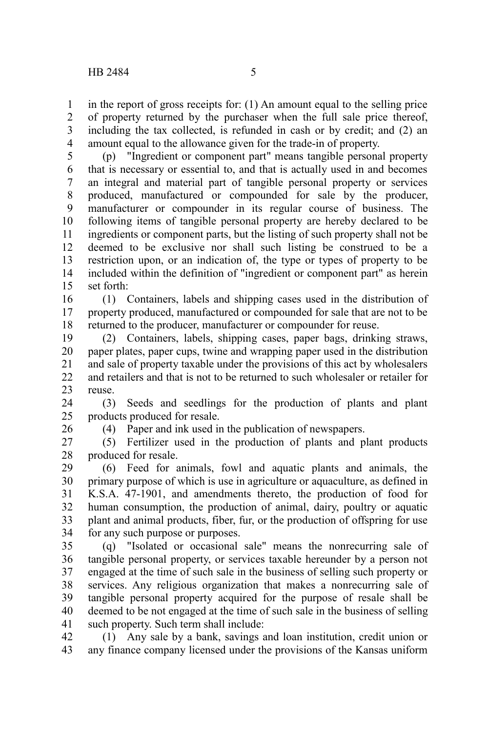in the report of gross receipts for: (1) An amount equal to the selling price of property returned by the purchaser when the full sale price thereof, including the tax collected, is refunded in cash or by credit; and (2) an amount equal to the allowance given for the trade-in of property. 1 2 3 4

(p) "Ingredient or component part" means tangible personal property that is necessary or essential to, and that is actually used in and becomes an integral and material part of tangible personal property or services produced, manufactured or compounded for sale by the producer, manufacturer or compounder in its regular course of business. The following items of tangible personal property are hereby declared to be ingredients or component parts, but the listing of such property shall not be deemed to be exclusive nor shall such listing be construed to be a restriction upon, or an indication of, the type or types of property to be included within the definition of "ingredient or component part" as herein set forth: 5 6 7 8 9 10 11 12 13 14 15

(1) Containers, labels and shipping cases used in the distribution of property produced, manufactured or compounded for sale that are not to be returned to the producer, manufacturer or compounder for reuse. 16 17 18

(2) Containers, labels, shipping cases, paper bags, drinking straws, paper plates, paper cups, twine and wrapping paper used in the distribution and sale of property taxable under the provisions of this act by wholesalers and retailers and that is not to be returned to such wholesaler or retailer for reuse. 19 20 21 22 23

(3) Seeds and seedlings for the production of plants and plant products produced for resale. 24 25

26

(4) Paper and ink used in the publication of newspapers.

(5) Fertilizer used in the production of plants and plant products produced for resale. 27 28

(6) Feed for animals, fowl and aquatic plants and animals, the primary purpose of which is use in agriculture or aquaculture, as defined in K.S.A. 47-1901, and amendments thereto, the production of food for human consumption, the production of animal, dairy, poultry or aquatic plant and animal products, fiber, fur, or the production of offspring for use for any such purpose or purposes. 29 30 31 32 33 34

(q) "Isolated or occasional sale" means the nonrecurring sale of tangible personal property, or services taxable hereunder by a person not engaged at the time of such sale in the business of selling such property or services. Any religious organization that makes a nonrecurring sale of tangible personal property acquired for the purpose of resale shall be deemed to be not engaged at the time of such sale in the business of selling such property. Such term shall include: 35 36 37 38 39 40 41

(1) Any sale by a bank, savings and loan institution, credit union or any finance company licensed under the provisions of the Kansas uniform 42 43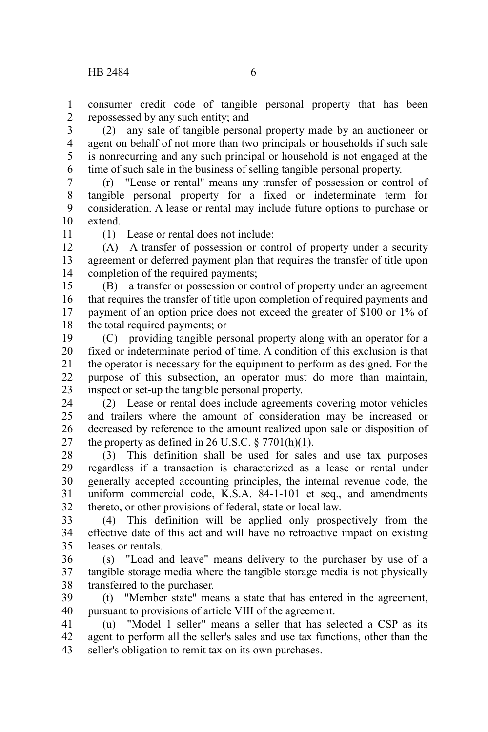consumer credit code of tangible personal property that has been repossessed by any such entity; and 1 2

(2) any sale of tangible personal property made by an auctioneer or agent on behalf of not more than two principals or households if such sale is nonrecurring and any such principal or household is not engaged at the time of such sale in the business of selling tangible personal property. 3 4 5 6

(r) "Lease or rental" means any transfer of possession or control of tangible personal property for a fixed or indeterminate term for consideration. A lease or rental may include future options to purchase or extend. 7 8 9 10

11

(1) Lease or rental does not include:

(A) A transfer of possession or control of property under a security agreement or deferred payment plan that requires the transfer of title upon completion of the required payments; 12 13 14

(B) a transfer or possession or control of property under an agreement that requires the transfer of title upon completion of required payments and payment of an option price does not exceed the greater of \$100 or 1% of the total required payments; or 15 16 17 18

(C) providing tangible personal property along with an operator for a fixed or indeterminate period of time. A condition of this exclusion is that the operator is necessary for the equipment to perform as designed. For the purpose of this subsection, an operator must do more than maintain, inspect or set-up the tangible personal property. 19 20 21 22 23

(2) Lease or rental does include agreements covering motor vehicles and trailers where the amount of consideration may be increased or decreased by reference to the amount realized upon sale or disposition of the property as defined in 26 U.S.C.  $\S 7701(h)(1)$ . 24 25 26 27

(3) This definition shall be used for sales and use tax purposes regardless if a transaction is characterized as a lease or rental under generally accepted accounting principles, the internal revenue code, the uniform commercial code, K.S.A. 84-1-101 et seq., and amendments thereto, or other provisions of federal, state or local law. 28 29 30 31 32

(4) This definition will be applied only prospectively from the effective date of this act and will have no retroactive impact on existing leases or rentals. 33 34 35

(s) "Load and leave" means delivery to the purchaser by use of a tangible storage media where the tangible storage media is not physically transferred to the purchaser. 36 37 38

(t) "Member state" means a state that has entered in the agreement, pursuant to provisions of article VIII of the agreement. 39 40

(u) "Model 1 seller" means a seller that has selected a CSP as its agent to perform all the seller's sales and use tax functions, other than the seller's obligation to remit tax on its own purchases. 41 42 43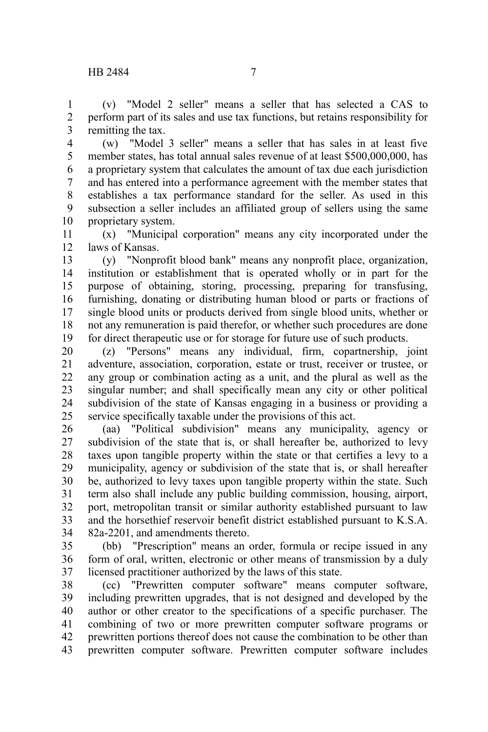(v) "Model 2 seller" means a seller that has selected a CAS to perform part of its sales and use tax functions, but retains responsibility for remitting the tax. 1 2 3

(w) "Model 3 seller" means a seller that has sales in at least five member states, has total annual sales revenue of at least \$500,000,000, has a proprietary system that calculates the amount of tax due each jurisdiction and has entered into a performance agreement with the member states that establishes a tax performance standard for the seller. As used in this subsection a seller includes an affiliated group of sellers using the same proprietary system. 4 5 6 7 8 9 10

(x) "Municipal corporation" means any city incorporated under the laws of Kansas. 11 12

(y) "Nonprofit blood bank" means any nonprofit place, organization, institution or establishment that is operated wholly or in part for the purpose of obtaining, storing, processing, preparing for transfusing, furnishing, donating or distributing human blood or parts or fractions of single blood units or products derived from single blood units, whether or not any remuneration is paid therefor, or whether such procedures are done for direct therapeutic use or for storage for future use of such products. 13 14 15 16 17 18 19

(z) "Persons" means any individual, firm, copartnership, joint adventure, association, corporation, estate or trust, receiver or trustee, or any group or combination acting as a unit, and the plural as well as the singular number; and shall specifically mean any city or other political subdivision of the state of Kansas engaging in a business or providing a service specifically taxable under the provisions of this act. 20 21 22 23 24 25

(aa) "Political subdivision" means any municipality, agency or subdivision of the state that is, or shall hereafter be, authorized to levy taxes upon tangible property within the state or that certifies a levy to a municipality, agency or subdivision of the state that is, or shall hereafter be, authorized to levy taxes upon tangible property within the state. Such term also shall include any public building commission, housing, airport, port, metropolitan transit or similar authority established pursuant to law and the horsethief reservoir benefit district established pursuant to K.S.A. 82a-2201, and amendments thereto. 26 27 28 29 30 31 32 33 34

(bb) "Prescription" means an order, formula or recipe issued in any form of oral, written, electronic or other means of transmission by a duly licensed practitioner authorized by the laws of this state. 35 36 37

(cc) "Prewritten computer software" means computer software, including prewritten upgrades, that is not designed and developed by the author or other creator to the specifications of a specific purchaser. The combining of two or more prewritten computer software programs or prewritten portions thereof does not cause the combination to be other than prewritten computer software. Prewritten computer software includes 38 39 40 41 42 43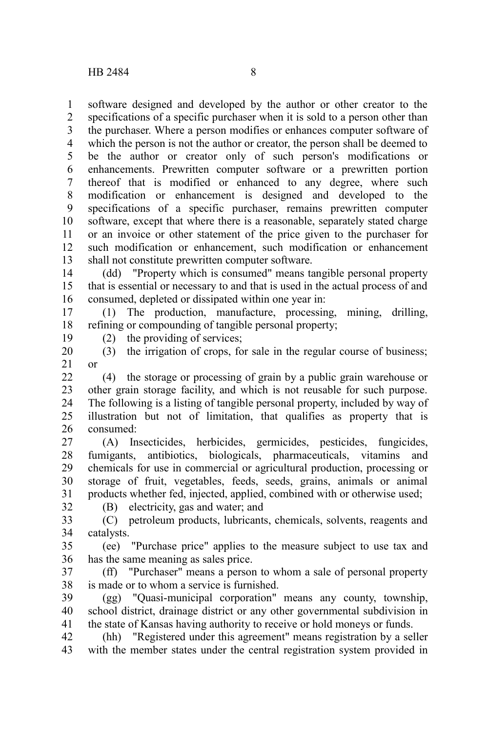software designed and developed by the author or other creator to the specifications of a specific purchaser when it is sold to a person other than the purchaser. Where a person modifies or enhances computer software of which the person is not the author or creator, the person shall be deemed to be the author or creator only of such person's modifications or enhancements. Prewritten computer software or a prewritten portion thereof that is modified or enhanced to any degree, where such modification or enhancement is designed and developed to the specifications of a specific purchaser, remains prewritten computer software, except that where there is a reasonable, separately stated charge or an invoice or other statement of the price given to the purchaser for such modification or enhancement, such modification or enhancement shall not constitute prewritten computer software. 1 2 3 4 5 6 7 8 9 10 11 12 13

(dd) "Property which is consumed" means tangible personal property that is essential or necessary to and that is used in the actual process of and consumed, depleted or dissipated within one year in: 14 15 16

(1) The production, manufacture, processing, mining, drilling, refining or compounding of tangible personal property; 17 18

19

(2) the providing of services;

(B) electricity, gas and water; and

(3) the irrigation of crops, for sale in the regular course of business; or 20 21

(4) the storage or processing of grain by a public grain warehouse or other grain storage facility, and which is not reusable for such purpose. The following is a listing of tangible personal property, included by way of illustration but not of limitation, that qualifies as property that is consumed: 22 23 24 25 26

(A) Insecticides, herbicides, germicides, pesticides, fungicides, fumigants, antibiotics, biologicals, pharmaceuticals, vitamins and chemicals for use in commercial or agricultural production, processing or storage of fruit, vegetables, feeds, seeds, grains, animals or animal products whether fed, injected, applied, combined with or otherwise used; 27 28 29 30 31

32

(C) petroleum products, lubricants, chemicals, solvents, reagents and catalysts. 33 34

(ee) "Purchase price" applies to the measure subject to use tax and has the same meaning as sales price. 35 36

(ff) "Purchaser" means a person to whom a sale of personal property is made or to whom a service is furnished. 37 38

(gg) "Quasi-municipal corporation" means any county, township, school district, drainage district or any other governmental subdivision in the state of Kansas having authority to receive or hold moneys or funds. 39 40 41

(hh) "Registered under this agreement" means registration by a seller with the member states under the central registration system provided in 42 43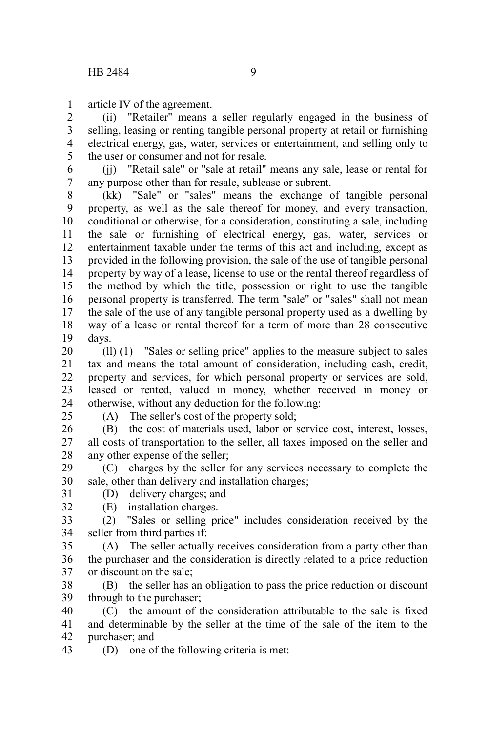article IV of the agreement. 1

(ii) "Retailer" means a seller regularly engaged in the business of selling, leasing or renting tangible personal property at retail or furnishing electrical energy, gas, water, services or entertainment, and selling only to the user or consumer and not for resale. 2 3 4 5

(ii) "Retail sale" or "sale at retail" means any sale, lease or rental for any purpose other than for resale, sublease or subrent. 6 7

(kk) "Sale" or "sales" means the exchange of tangible personal property, as well as the sale thereof for money, and every transaction, conditional or otherwise, for a consideration, constituting a sale, including the sale or furnishing of electrical energy, gas, water, services or entertainment taxable under the terms of this act and including, except as provided in the following provision, the sale of the use of tangible personal property by way of a lease, license to use or the rental thereof regardless of the method by which the title, possession or right to use the tangible personal property is transferred. The term "sale" or "sales" shall not mean the sale of the use of any tangible personal property used as a dwelling by way of a lease or rental thereof for a term of more than 28 consecutive days. 8 9 10 11 12 13 14 15 16 17 18 19

(ll) (1) "Sales or selling price" applies to the measure subject to sales tax and means the total amount of consideration, including cash, credit, property and services, for which personal property or services are sold, leased or rented, valued in money, whether received in money or otherwise, without any deduction for the following: 20 21 22 23 24

 $25$ 

32

(A) The seller's cost of the property sold;

(B) the cost of materials used, labor or service cost, interest, losses, all costs of transportation to the seller, all taxes imposed on the seller and any other expense of the seller; 26 27 28

(C) charges by the seller for any services necessary to complete the sale, other than delivery and installation charges; 29 30

- (D) delivery charges; and 31
	- (E) installation charges.

(2) "Sales or selling price" includes consideration received by the seller from third parties if: 33 34

(A) The seller actually receives consideration from a party other than the purchaser and the consideration is directly related to a price reduction or discount on the sale; 35 36 37

(B) the seller has an obligation to pass the price reduction or discount through to the purchaser; 38 39

(C) the amount of the consideration attributable to the sale is fixed and determinable by the seller at the time of the sale of the item to the purchaser; and 40 41 42

(D) one of the following criteria is met: 43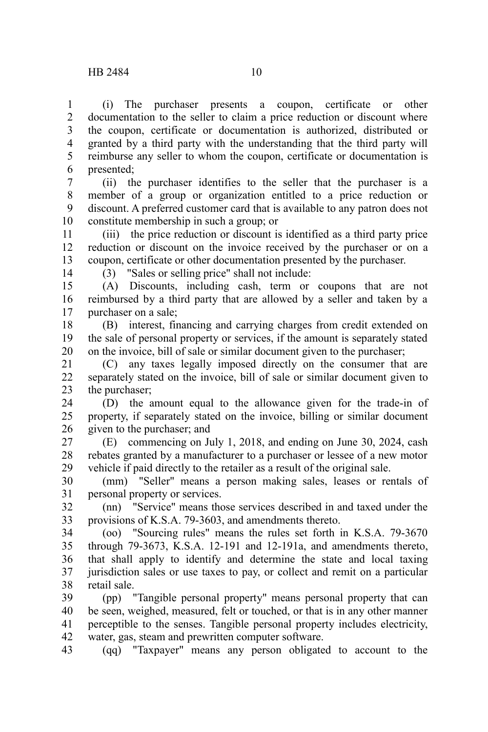(i) The purchaser presents a coupon, certificate or other documentation to the seller to claim a price reduction or discount where the coupon, certificate or documentation is authorized, distributed or granted by a third party with the understanding that the third party will reimburse any seller to whom the coupon, certificate or documentation is presented; 1 2 3 4 5 6

(ii) the purchaser identifies to the seller that the purchaser is a member of a group or organization entitled to a price reduction or discount. A preferred customer card that is available to any patron does not constitute membership in such a group; or 7 8 9 10

(iii) the price reduction or discount is identified as a third party price reduction or discount on the invoice received by the purchaser or on a coupon, certificate or other documentation presented by the purchaser. 11 12 13

14

(3) "Sales or selling price" shall not include:

(A) Discounts, including cash, term or coupons that are not reimbursed by a third party that are allowed by a seller and taken by a purchaser on a sale; 15 16 17

(B) interest, financing and carrying charges from credit extended on the sale of personal property or services, if the amount is separately stated on the invoice, bill of sale or similar document given to the purchaser; 18 19 20

(C) any taxes legally imposed directly on the consumer that are separately stated on the invoice, bill of sale or similar document given to the purchaser; 21 22 23

(D) the amount equal to the allowance given for the trade-in of property, if separately stated on the invoice, billing or similar document given to the purchaser; and 24 25 26

(E) commencing on July 1, 2018, and ending on June 30, 2024, cash rebates granted by a manufacturer to a purchaser or lessee of a new motor vehicle if paid directly to the retailer as a result of the original sale. 27 28 29

(mm) "Seller" means a person making sales, leases or rentals of personal property or services. 30 31

(nn) "Service" means those services described in and taxed under the provisions of K.S.A. 79-3603, and amendments thereto. 32 33

(oo) "Sourcing rules" means the rules set forth in K.S.A. 79-3670 through 79-3673, K.S.A. 12-191 and 12-191a, and amendments thereto, that shall apply to identify and determine the state and local taxing jurisdiction sales or use taxes to pay, or collect and remit on a particular retail sale. 34 35 36 37 38

(pp) "Tangible personal property" means personal property that can be seen, weighed, measured, felt or touched, or that is in any other manner perceptible to the senses. Tangible personal property includes electricity, water, gas, steam and prewritten computer software. 39 40 41 42

(qq) "Taxpayer" means any person obligated to account to the 43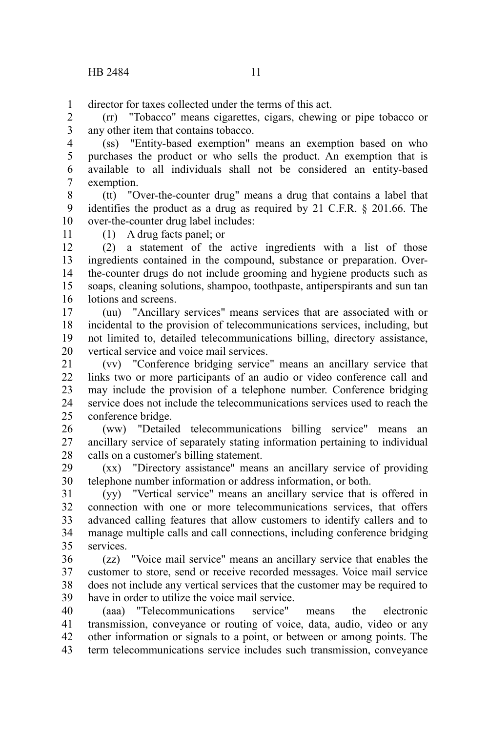director for taxes collected under the terms of this act. 1

(rr) "Tobacco" means cigarettes, cigars, chewing or pipe tobacco or any other item that contains tobacco. 2 3

(ss) "Entity-based exemption" means an exemption based on who purchases the product or who sells the product. An exemption that is available to all individuals shall not be considered an entity-based exemption. 4 5 6 7

(tt) "Over-the-counter drug" means a drug that contains a label that identifies the product as a drug as required by 21 C.F.R. § 201.66. The over-the-counter drug label includes: 8 9 10

11

(1) A drug facts panel; or

(2) a statement of the active ingredients with a list of those ingredients contained in the compound, substance or preparation. Overthe-counter drugs do not include grooming and hygiene products such as soaps, cleaning solutions, shampoo, toothpaste, antiperspirants and sun tan lotions and screens. 12 13 14 15 16

(uu) "Ancillary services" means services that are associated with or incidental to the provision of telecommunications services, including, but not limited to, detailed telecommunications billing, directory assistance, vertical service and voice mail services. 17 18 19 20

(vv) "Conference bridging service" means an ancillary service that links two or more participants of an audio or video conference call and may include the provision of a telephone number. Conference bridging service does not include the telecommunications services used to reach the conference bridge. 21 22 23 24 25

(ww) "Detailed telecommunications billing service" means an ancillary service of separately stating information pertaining to individual calls on a customer's billing statement. 26 27 28

(xx) "Directory assistance" means an ancillary service of providing telephone number information or address information, or both. 29 30

(yy) "Vertical service" means an ancillary service that is offered in connection with one or more telecommunications services, that offers advanced calling features that allow customers to identify callers and to manage multiple calls and call connections, including conference bridging services. 31 32 33 34 35

(zz) "Voice mail service" means an ancillary service that enables the customer to store, send or receive recorded messages. Voice mail service does not include any vertical services that the customer may be required to have in order to utilize the voice mail service. 36 37 38 39

(aaa) "Telecommunications service" means the electronic transmission, conveyance or routing of voice, data, audio, video or any other information or signals to a point, or between or among points. The term telecommunications service includes such transmission, conveyance 40 41 42 43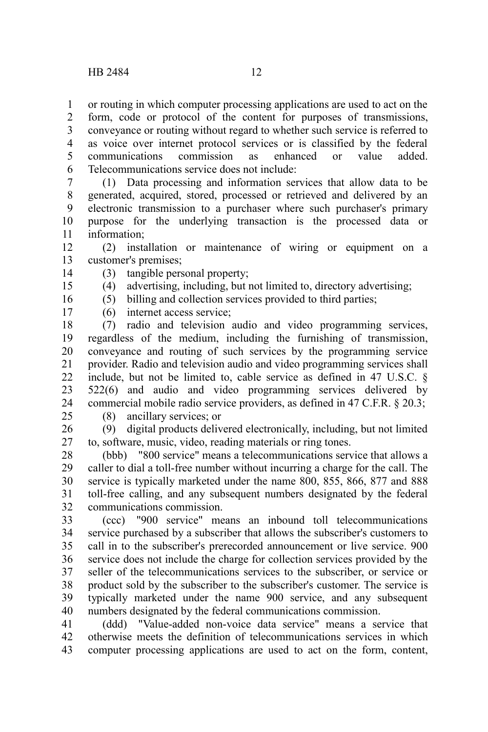or routing in which computer processing applications are used to act on the form, code or protocol of the content for purposes of transmissions, conveyance or routing without regard to whether such service is referred to as voice over internet protocol services or is classified by the federal communications commission as enhanced or value added. 1 2 3 4 5

Telecommunications service does not include: (1) Data processing and information services that allow data to be generated, acquired, stored, processed or retrieved and delivered by an electronic transmission to a purchaser where such purchaser's primary 6 7 8 9

purpose for the underlying transaction is the processed data or information; 10 11

(2) installation or maintenance of wiring or equipment on a customer's premises; 12 13

- (3) tangible personal property; 14
	- (4) advertising, including, but not limited to, directory advertising;
		- (5) billing and collection services provided to third parties;

16 17

15

(6) internet access service;

(7) radio and television audio and video programming services, regardless of the medium, including the furnishing of transmission, conveyance and routing of such services by the programming service provider. Radio and television audio and video programming services shall include, but not be limited to, cable service as defined in 47 U.S.C. § 522(6) and audio and video programming services delivered by commercial mobile radio service providers, as defined in 47 C.F.R. § 20.3; 18 19 20 21 22 23 24

25

(8) ancillary services; or

(9) digital products delivered electronically, including, but not limited to, software, music, video, reading materials or ring tones. 26 27

(bbb) "800 service" means a telecommunications service that allows a caller to dial a toll-free number without incurring a charge for the call. The service is typically marketed under the name 800, 855, 866, 877 and 888 toll-free calling, and any subsequent numbers designated by the federal communications commission. 28 29 30 31 32

(ccc) "900 service" means an inbound toll telecommunications service purchased by a subscriber that allows the subscriber's customers to call in to the subscriber's prerecorded announcement or live service. 900 service does not include the charge for collection services provided by the seller of the telecommunications services to the subscriber, or service or product sold by the subscriber to the subscriber's customer. The service is typically marketed under the name 900 service, and any subsequent numbers designated by the federal communications commission. 33 34 35 36 37 38 39 40

(ddd) "Value-added non-voice data service" means a service that otherwise meets the definition of telecommunications services in which computer processing applications are used to act on the form, content, 41 42 43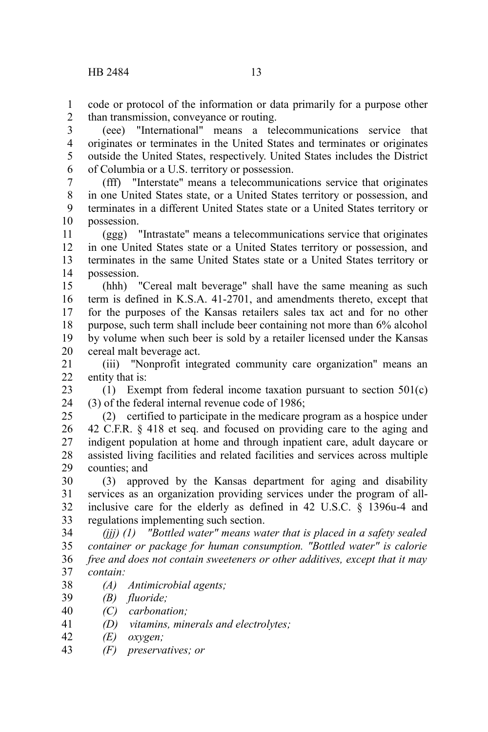code or protocol of the information or data primarily for a purpose other than transmission, conveyance or routing. 1 2

(eee) "International" means a telecommunications service that originates or terminates in the United States and terminates or originates outside the United States, respectively. United States includes the District of Columbia or a U.S. territory or possession. 3 4 5 6

(fff) "Interstate" means a telecommunications service that originates in one United States state, or a United States territory or possession, and terminates in a different United States state or a United States territory or possession. 7 8 9 10

(ggg) "Intrastate" means a telecommunications service that originates in one United States state or a United States territory or possession, and terminates in the same United States state or a United States territory or possession. 11 12 13 14

(hhh) "Cereal malt beverage" shall have the same meaning as such term is defined in K.S.A. 41-2701, and amendments thereto, except that for the purposes of the Kansas retailers sales tax act and for no other purpose, such term shall include beer containing not more than 6% alcohol by volume when such beer is sold by a retailer licensed under the Kansas cereal malt beverage act. 15 16 17 18 19 20

(iii) "Nonprofit integrated community care organization" means an entity that is: 21  $22$ 

(1) Exempt from federal income taxation pursuant to section 501(c) (3) of the federal internal revenue code of 1986; 23 24

(2) certified to participate in the medicare program as a hospice under 42 C.F.R. § 418 et seq. and focused on providing care to the aging and indigent population at home and through inpatient care, adult daycare or assisted living facilities and related facilities and services across multiple counties; and 25 26 27 28 29

(3) approved by the Kansas department for aging and disability services as an organization providing services under the program of allinclusive care for the elderly as defined in 42 U.S.C. § 1396u-4 and regulations implementing such section. 30 31 32 33

*(jjj) (1) "Bottled water" means water that is placed in a safety sealed container or package for human consumption. "Bottled water" is calorie free and does not contain sweeteners or other additives, except that it may contain:* 34 35 36 37

- *(A) Antimicrobial agents;* 38
- *(B) fluoride;* 39
- *(C) carbonation;* 40
- *(D) vitamins, minerals and electrolytes;* 41
- *(E) oxygen;* 42
- *(F) preservatives; or* 43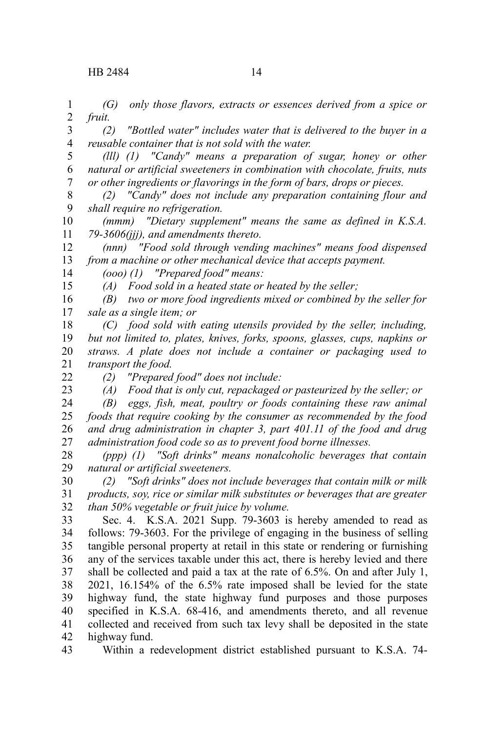*(G) only those flavors, extracts or essences derived from a spice or fruit.* 1 2

*(2) "Bottled water" includes water that is delivered to the buyer in a reusable container that is not sold with the water.* 3 4

*(lll) (1) "Candy" means a preparation of sugar, honey or other natural or artificial sweeteners in combination with chocolate, fruits, nuts or other ingredients or flavorings in the form of bars, drops or pieces.* 5 6 7

*(2) "Candy" does not include any preparation containing flour and shall require no refrigeration.* 8 9

*(mmm) "Dietary supplement" means the same as defined in K.S.A. 79-3606(jjj), and amendments thereto.* 10 11

*(nnn) "Food sold through vending machines" means food dispensed from a machine or other mechanical device that accepts payment.* 12 13

*(ooo) (1) "Prepared food" means:* 14

*(A) Food sold in a heated state or heated by the seller;*

*(B) two or more food ingredients mixed or combined by the seller for sale as a single item; or* 16 17

*(C) food sold with eating utensils provided by the seller, including, but not limited to, plates, knives, forks, spoons, glasses, cups, napkins or straws. A plate does not include a container or packaging used to transport the food.* 18 19 20 21

22

15

23

*(2) "Prepared food" does not include: (A) Food that is only cut, repackaged or pasteurized by the seller; or*

*(B) eggs, fish, meat, poultry or foods containing these raw animal foods that require cooking by the consumer as recommended by the food and drug administration in chapter 3, part 401.11 of the food and drug administration food code so as to prevent food borne illnesses.* 24 25 26 27

*(ppp) (1) "Soft drinks" means nonalcoholic beverages that contain natural or artificial sweeteners.* 28 29

*(2) "Soft drinks" does not include beverages that contain milk or milk products, soy, rice or similar milk substitutes or beverages that are greater than 50% vegetable or fruit juice by volume.* 30 31 32

Sec. 4. K.S.A. 2021 Supp. 79-3603 is hereby amended to read as follows: 79-3603. For the privilege of engaging in the business of selling tangible personal property at retail in this state or rendering or furnishing any of the services taxable under this act, there is hereby levied and there shall be collected and paid a tax at the rate of 6.5%. On and after July 1, 2021, 16.154% of the 6.5% rate imposed shall be levied for the state highway fund, the state highway fund purposes and those purposes specified in K.S.A. 68-416, and amendments thereto, and all revenue collected and received from such tax levy shall be deposited in the state highway fund. 33 34 35 36 37 38 39 40 41 42

Within a redevelopment district established pursuant to K.S.A. 74- 43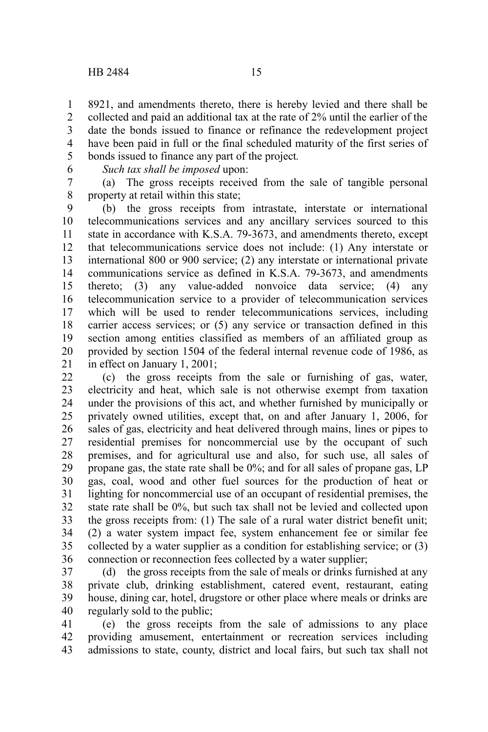8921, and amendments thereto, there is hereby levied and there shall be collected and paid an additional tax at the rate of 2% until the earlier of the date the bonds issued to finance or refinance the redevelopment project have been paid in full or the final scheduled maturity of the first series of bonds issued to finance any part of the project*.* 1 2 3 4 5

6

*Such tax shall be imposed* upon:

(a) The gross receipts received from the sale of tangible personal property at retail within this state; 7 8

(b) the gross receipts from intrastate, interstate or international telecommunications services and any ancillary services sourced to this state in accordance with K.S.A. 79-3673, and amendments thereto, except that telecommunications service does not include: (1) Any interstate or international 800 or 900 service; (2) any interstate or international private communications service as defined in K.S.A. 79-3673, and amendments thereto; (3) any value-added nonvoice data service; (4) any telecommunication service to a provider of telecommunication services which will be used to render telecommunications services, including carrier access services; or (5) any service or transaction defined in this section among entities classified as members of an affiliated group as provided by section 1504 of the federal internal revenue code of 1986, as in effect on January 1, 2001; 9 10 11 12 13 14 15 16 17 18 19 20 21

(c) the gross receipts from the sale or furnishing of gas, water, electricity and heat, which sale is not otherwise exempt from taxation under the provisions of this act, and whether furnished by municipally or privately owned utilities, except that, on and after January 1, 2006, for sales of gas, electricity and heat delivered through mains, lines or pipes to residential premises for noncommercial use by the occupant of such premises, and for agricultural use and also, for such use, all sales of propane gas, the state rate shall be 0%; and for all sales of propane gas, LP gas, coal, wood and other fuel sources for the production of heat or lighting for noncommercial use of an occupant of residential premises, the state rate shall be 0%, but such tax shall not be levied and collected upon the gross receipts from: (1) The sale of a rural water district benefit unit; (2) a water system impact fee, system enhancement fee or similar fee collected by a water supplier as a condition for establishing service; or (3) connection or reconnection fees collected by a water supplier; 22 23 24 25 26 27 28 29 30 31 32 33 34 35 36

(d) the gross receipts from the sale of meals or drinks furnished at any private club, drinking establishment, catered event, restaurant, eating house, dining car, hotel, drugstore or other place where meals or drinks are regularly sold to the public; 37 38 39 40

(e) the gross receipts from the sale of admissions to any place providing amusement, entertainment or recreation services including admissions to state, county, district and local fairs, but such tax shall not 41 42 43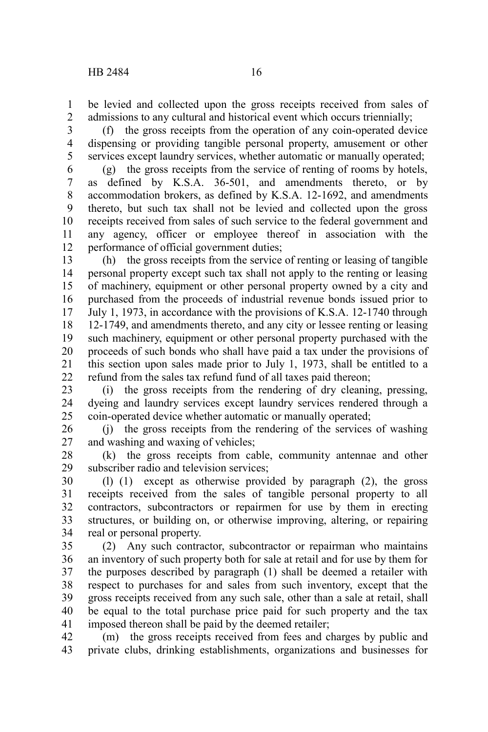be levied and collected upon the gross receipts received from sales of admissions to any cultural and historical event which occurs triennially; 1 2

(f) the gross receipts from the operation of any coin-operated device dispensing or providing tangible personal property, amusement or other services except laundry services, whether automatic or manually operated; 3 4 5

(g) the gross receipts from the service of renting of rooms by hotels, as defined by K.S.A. 36-501, and amendments thereto, or by accommodation brokers, as defined by K.S.A. 12-1692, and amendments thereto, but such tax shall not be levied and collected upon the gross receipts received from sales of such service to the federal government and any agency, officer or employee thereof in association with the performance of official government duties; 6 7 8 9 10 11 12

(h) the gross receipts from the service of renting or leasing of tangible personal property except such tax shall not apply to the renting or leasing of machinery, equipment or other personal property owned by a city and purchased from the proceeds of industrial revenue bonds issued prior to July 1, 1973, in accordance with the provisions of K.S.A. 12-1740 through 12-1749, and amendments thereto, and any city or lessee renting or leasing such machinery, equipment or other personal property purchased with the proceeds of such bonds who shall have paid a tax under the provisions of this section upon sales made prior to July 1, 1973, shall be entitled to a refund from the sales tax refund fund of all taxes paid thereon; 13 14 15 16 17 18 19 20 21 22

(i) the gross receipts from the rendering of dry cleaning, pressing, dyeing and laundry services except laundry services rendered through a coin-operated device whether automatic or manually operated; 23 24 25

(j) the gross receipts from the rendering of the services of washing and washing and waxing of vehicles; 26 27

(k) the gross receipts from cable, community antennae and other subscriber radio and television services; 28 29

(l) (1) except as otherwise provided by paragraph (2), the gross receipts received from the sales of tangible personal property to all contractors, subcontractors or repairmen for use by them in erecting structures, or building on, or otherwise improving, altering, or repairing real or personal property. 30 31 32 33 34

(2) Any such contractor, subcontractor or repairman who maintains an inventory of such property both for sale at retail and for use by them for the purposes described by paragraph (1) shall be deemed a retailer with respect to purchases for and sales from such inventory, except that the gross receipts received from any such sale, other than a sale at retail, shall be equal to the total purchase price paid for such property and the tax imposed thereon shall be paid by the deemed retailer; 35 36 37 38 39 40 41

(m) the gross receipts received from fees and charges by public and private clubs, drinking establishments, organizations and businesses for 42 43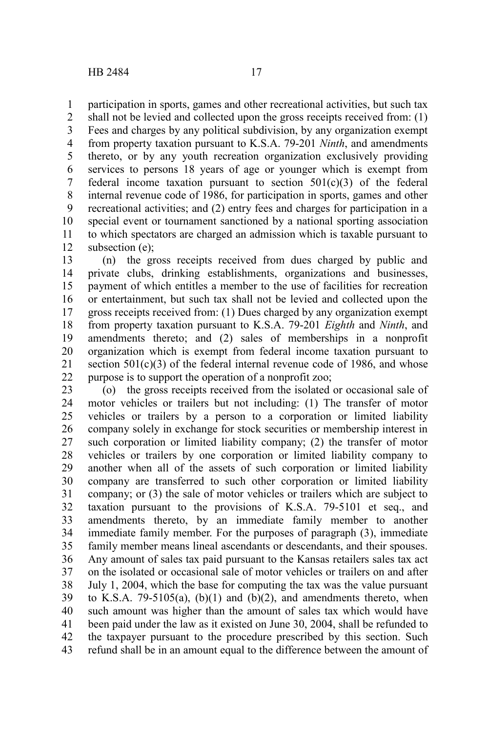participation in sports, games and other recreational activities, but such tax 1

shall not be levied and collected upon the gross receipts received from: (1) Fees and charges by any political subdivision, by any organization exempt from property taxation pursuant to K.S.A. 79-201 *Ninth*, and amendments thereto, or by any youth recreation organization exclusively providing services to persons 18 years of age or younger which is exempt from federal income taxation pursuant to section  $501(c)(3)$  of the federal internal revenue code of 1986, for participation in sports, games and other recreational activities; and (2) entry fees and charges for participation in a special event or tournament sanctioned by a national sporting association to which spectators are charged an admission which is taxable pursuant to subsection (e); 2 3 4 5 6 7 8 9 10 11 12

(n) the gross receipts received from dues charged by public and private clubs, drinking establishments, organizations and businesses, payment of which entitles a member to the use of facilities for recreation or entertainment, but such tax shall not be levied and collected upon the gross receipts received from: (1) Dues charged by any organization exempt from property taxation pursuant to K.S.A. 79-201 *Eighth* and *Ninth*, and amendments thereto; and (2) sales of memberships in a nonprofit organization which is exempt from federal income taxation pursuant to section  $501(c)(3)$  of the federal internal revenue code of 1986, and whose purpose is to support the operation of a nonprofit zoo; 13 14 15 16 17 18 19 20 21 22

(o) the gross receipts received from the isolated or occasional sale of motor vehicles or trailers but not including: (1) The transfer of motor vehicles or trailers by a person to a corporation or limited liability company solely in exchange for stock securities or membership interest in such corporation or limited liability company; (2) the transfer of motor vehicles or trailers by one corporation or limited liability company to another when all of the assets of such corporation or limited liability company are transferred to such other corporation or limited liability company; or (3) the sale of motor vehicles or trailers which are subject to taxation pursuant to the provisions of K.S.A. 79-5101 et seq., and amendments thereto, by an immediate family member to another immediate family member. For the purposes of paragraph (3), immediate family member means lineal ascendants or descendants, and their spouses. Any amount of sales tax paid pursuant to the Kansas retailers sales tax act on the isolated or occasional sale of motor vehicles or trailers on and after July 1, 2004, which the base for computing the tax was the value pursuant to K.S.A. 79-5105(a),  $(b)(1)$  and  $(b)(2)$ , and amendments thereto, when such amount was higher than the amount of sales tax which would have been paid under the law as it existed on June 30, 2004, shall be refunded to the taxpayer pursuant to the procedure prescribed by this section. Such refund shall be in an amount equal to the difference between the amount of 23 24 25 26 27 28 29 30 31 32 33 34 35 36 37 38 39 40 41 42 43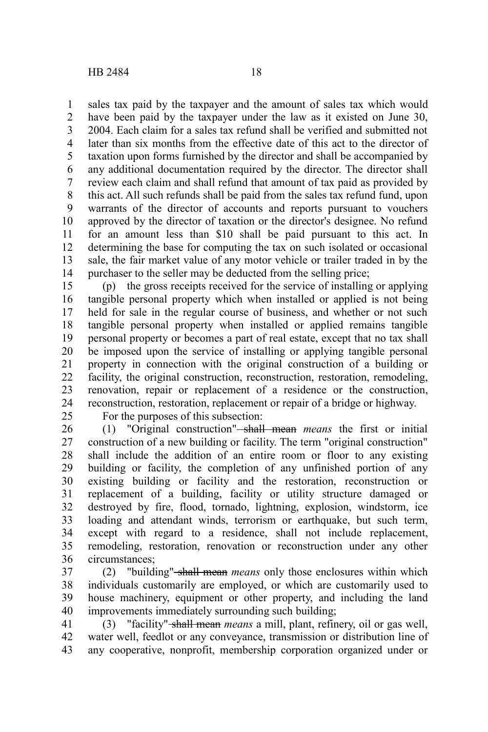sales tax paid by the taxpayer and the amount of sales tax which would 1

have been paid by the taxpayer under the law as it existed on June 30, 2004. Each claim for a sales tax refund shall be verified and submitted not later than six months from the effective date of this act to the director of taxation upon forms furnished by the director and shall be accompanied by any additional documentation required by the director. The director shall review each claim and shall refund that amount of tax paid as provided by this act. All such refunds shall be paid from the sales tax refund fund, upon warrants of the director of accounts and reports pursuant to vouchers approved by the director of taxation or the director's designee. No refund for an amount less than \$10 shall be paid pursuant to this act. In determining the base for computing the tax on such isolated or occasional sale, the fair market value of any motor vehicle or trailer traded in by the purchaser to the seller may be deducted from the selling price; 2 3 4 5 6 7 8 9 10 11 12 13 14

(p) the gross receipts received for the service of installing or applying tangible personal property which when installed or applied is not being held for sale in the regular course of business, and whether or not such tangible personal property when installed or applied remains tangible personal property or becomes a part of real estate, except that no tax shall be imposed upon the service of installing or applying tangible personal property in connection with the original construction of a building or facility, the original construction, reconstruction, restoration, remodeling, renovation, repair or replacement of a residence or the construction, reconstruction, restoration, replacement or repair of a bridge or highway. 15 16 17 18 19 20 21 22 23 24

25

For the purposes of this subsection:

(1) "Original construction" shall mean *means* the first or initial construction of a new building or facility. The term "original construction" shall include the addition of an entire room or floor to any existing building or facility, the completion of any unfinished portion of any existing building or facility and the restoration, reconstruction or replacement of a building, facility or utility structure damaged or destroyed by fire, flood, tornado, lightning, explosion, windstorm, ice loading and attendant winds, terrorism or earthquake, but such term, except with regard to a residence, shall not include replacement, remodeling, restoration, renovation or reconstruction under any other circumstances; 26 27 28 29 30 31 32 33 34 35 36

(2) "building" shall mean *means* only those enclosures within which individuals customarily are employed, or which are customarily used to house machinery, equipment or other property, and including the land improvements immediately surrounding such building; 37 38 39 40

(3) "facility" shall mean *means* a mill, plant, refinery, oil or gas well, water well, feedlot or any conveyance, transmission or distribution line of any cooperative, nonprofit, membership corporation organized under or 41 42 43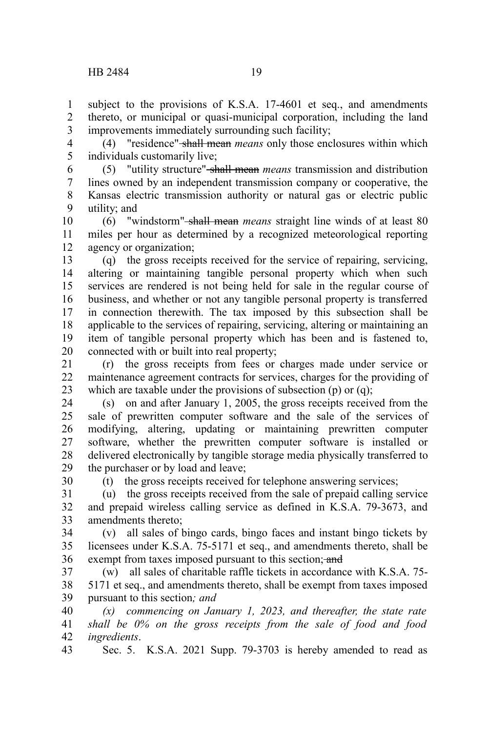30

subject to the provisions of K.S.A. 17-4601 et seq., and amendments thereto, or municipal or quasi-municipal corporation, including the land improvements immediately surrounding such facility; 1 2 3

(4) "residence" shall mean *means* only those enclosures within which individuals customarily live; 4 5

(5) "utility structure" shall mean *means* transmission and distribution lines owned by an independent transmission company or cooperative, the Kansas electric transmission authority or natural gas or electric public utility; and 6 7 8 9

(6) "windstorm" shall mean *means* straight line winds of at least 80 miles per hour as determined by a recognized meteorological reporting agency or organization; 10 11 12

(q) the gross receipts received for the service of repairing, servicing, altering or maintaining tangible personal property which when such services are rendered is not being held for sale in the regular course of business, and whether or not any tangible personal property is transferred in connection therewith. The tax imposed by this subsection shall be applicable to the services of repairing, servicing, altering or maintaining an item of tangible personal property which has been and is fastened to, connected with or built into real property; 13 14 15 16 17 18 19 20

(r) the gross receipts from fees or charges made under service or maintenance agreement contracts for services, charges for the providing of which are taxable under the provisions of subsection (p) or (q); 21 22 23

(s) on and after January 1, 2005, the gross receipts received from the sale of prewritten computer software and the sale of the services of modifying, altering, updating or maintaining prewritten computer software, whether the prewritten computer software is installed or delivered electronically by tangible storage media physically transferred to the purchaser or by load and leave; 24 25 26 27 28 29

(t) the gross receipts received for telephone answering services;

(u) the gross receipts received from the sale of prepaid calling service and prepaid wireless calling service as defined in K.S.A. 79-3673, and amendments thereto; 31 32 33

(v) all sales of bingo cards, bingo faces and instant bingo tickets by licensees under K.S.A. 75-5171 et seq., and amendments thereto, shall be exempt from taxes imposed pursuant to this section; and 34 35 36

(w) all sales of charitable raffle tickets in accordance with K.S.A. 75- 5171 et seq., and amendments thereto, shall be exempt from taxes imposed pursuant to this section*; and* 37 38 39

*(x) commencing on January 1, 2023, and thereafter, the state rate shall be 0% on the gross receipts from the sale of food and food ingredients*. 40 41 42

Sec. 5. K.S.A. 2021 Supp. 79-3703 is hereby amended to read as 43